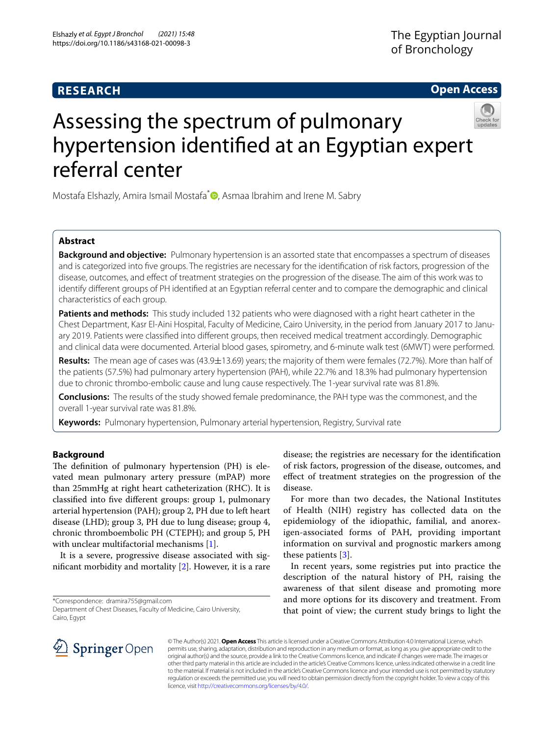# **RESEARCH**

**Open Access**

# Assessing the spectrum of pulmonary hypertension identifed at an Egyptian expert referral center

Mostafa Elshazly, Amira Ismail Mostafa<sup>[\\*](http://orcid.org/0000-0003-0766-6529)</sup> , Asmaa Ibrahim and Irene M. Sabry

## **Abstract**

**Background and objective:** Pulmonary hypertension is an assorted state that encompasses a spectrum of diseases and is categorized into fve groups. The registries are necessary for the identifcation of risk factors, progression of the disease, outcomes, and efect of treatment strategies on the progression of the disease. The aim of this work was to identify diferent groups of PH identifed at an Egyptian referral center and to compare the demographic and clinical characteristics of each group.

**Patients and methods:** This study included 132 patients who were diagnosed with a right heart catheter in the Chest Department, Kasr El-Aini Hospital, Faculty of Medicine, Cairo University, in the period from January 2017 to January 2019. Patients were classifed into diferent groups, then received medical treatment accordingly. Demographic and clinical data were documented. Arterial blood gases, spirometry, and 6-minute walk test (6MWT) were performed.

**Results:** The mean age of cases was (43.9±13.69) years; the majority of them were females (72.7%). More than half of the patients (57.5%) had pulmonary artery hypertension (PAH), while 22.7% and 18.3% had pulmonary hypertension due to chronic thrombo-embolic cause and lung cause respectively. The 1-year survival rate was 81.8%.

**Conclusions:** The results of the study showed female predominance, the PAH type was the commonest, and the overall 1-year survival rate was 81.8%.

**Keywords:** Pulmonary hypertension, Pulmonary arterial hypertension, Registry, Survival rate

## **Background**

The definition of pulmonary hypertension (PH) is elevated mean pulmonary artery pressure (mPAP) more than 25mmHg at right heart catheterization (RHC). It is classifed into fve diferent groups: group 1, pulmonary arterial hypertension (PAH); group 2, PH due to left heart disease (LHD); group 3, PH due to lung disease; group 4, chronic thromboembolic PH (CTEPH); and group 5, PH with unclear multifactorial mechanisms [[1](#page-4-0)].

It is a severe, progressive disease associated with signifcant morbidity and mortality [\[2](#page-4-1)]. However, it is a rare

\*Correspondence: dramira755@gmail.com

disease; the registries are necessary for the identifcation of risk factors, progression of the disease, outcomes, and efect of treatment strategies on the progression of the disease.

For more than two decades, the National Institutes of Health (NIH) registry has collected data on the epidemiology of the idiopathic, familial, and anorexigen-associated forms of PAH, providing important information on survival and prognostic markers among these patients  $|3|$  $|3|$  $|3|$ .

In recent years, some registries put into practice the description of the natural history of PH, raising the awareness of that silent disease and promoting more and more options for its discovery and treatment. From that point of view; the current study brings to light the



© The Author(s) 2021. **Open Access** This article is licensed under a Creative Commons Attribution 4.0 International License, which permits use, sharing, adaptation, distribution and reproduction in any medium or format, as long as you give appropriate credit to the original author(s) and the source, provide a link to the Creative Commons licence, and indicate if changes were made. The images or other third party material in this article are included in the article's Creative Commons licence, unless indicated otherwise in a credit line to the material. If material is not included in the article's Creative Commons licence and your intended use is not permitted by statutory regulation or exceeds the permitted use, you will need to obtain permission directly from the copyright holder. To view a copy of this licence, visit [http://creativecommons.org/licenses/by/4.0/.](http://creativecommons.org/licenses/by/4.0/)

Department of Chest Diseases, Faculty of Medicine, Cairo University, Cairo, Egypt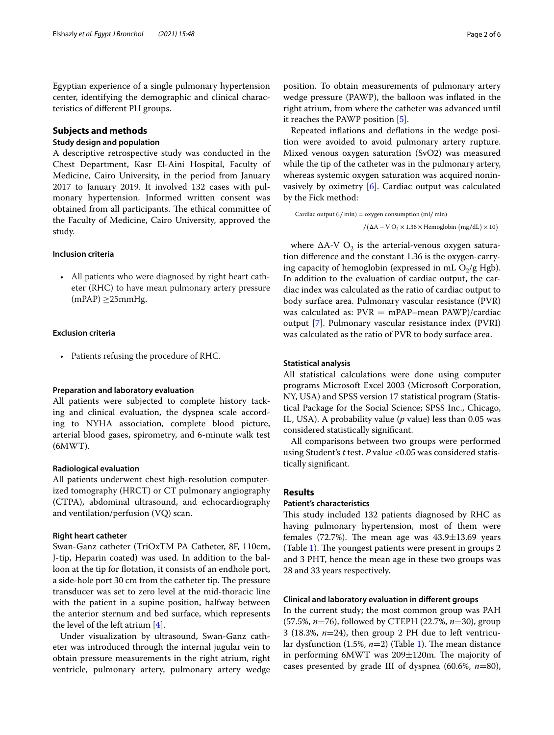Egyptian experience of a single pulmonary hypertension center, identifying the demographic and clinical characteristics of diferent PH groups.

## **Subjects and methods**

#### **Study design and population**

A descriptive retrospective study was conducted in the Chest Department, Kasr El-Aini Hospital, Faculty of Medicine, Cairo University, in the period from January 2017 to January 2019. It involved 132 cases with pulmonary hypertension. Informed written consent was obtained from all participants. The ethical committee of the Faculty of Medicine, Cairo University, approved the study.

#### **Inclusion criteria**

• All patients who were diagnosed by right heart catheter (RHC) to have mean pulmonary artery pressure  $(mPAP) \geq 25$ mmHg.

## **Exclusion criteria**

• Patients refusing the procedure of RHC.

## **Preparation and laboratory evaluation**

All patients were subjected to complete history tacking and clinical evaluation, the dyspnea scale according to NYHA association, complete blood picture, arterial blood gases, spirometry, and 6-minute walk test (6MWT).

#### **Radiological evaluation**

All patients underwent chest high-resolution computerized tomography (HRCT) or CT pulmonary angiography (CTPA), abdominal ultrasound, and echocardiography and ventilation/perfusion (VQ) scan.

## **Right heart catheter**

Swan-Ganz catheter (TriOxTM PA Catheter, 8F, 110cm, J-tip, Heparin coated) was used. In addition to the balloon at the tip for fotation, it consists of an endhole port, a side-hole port 30 cm from the catheter tip. The pressure transducer was set to zero level at the mid-thoracic line with the patient in a supine position, halfway between the anterior sternum and bed surface, which represents the level of the left atrium  $[4]$  $[4]$  $[4]$ .

Under visualization by ultrasound, Swan-Ganz catheter was introduced through the internal jugular vein to obtain pressure measurements in the right atrium, right ventricle, pulmonary artery, pulmonary artery wedge position. To obtain measurements of pulmonary artery wedge pressure (PAWP), the balloon was infated in the right atrium, from where the catheter was advanced until it reaches the PAWP position [\[5](#page-4-4)].

Repeated infations and defations in the wedge position were avoided to avoid pulmonary artery rupture. Mixed venous oxygen saturation (SvO2) was measured while the tip of the catheter was in the pulmonary artery, whereas systemic oxygen saturation was acquired noninvasively by oximetry [\[6](#page-4-5)]. Cardiac output was calculated by the Fick method:

Cardiac output (l∕ min) = oxygen consumption (ml∕ min)

 $/(\Delta A - V O_2 \times 1.36 \times$  Hemoglobin  $(mg/dL) \times 10)$ 

where  $\Delta A$ -V O<sub>2</sub> is the arterial-venous oxygen saturation diference and the constant 1.36 is the oxygen-carrying capacity of hemoglobin (expressed in mL  $O<sub>2</sub>/g$  Hgb). In addition to the evaluation of cardiac output, the cardiac index was calculated as the ratio of cardiac output to body surface area. Pulmonary vascular resistance (PVR) was calculated as:  $PVR = mPAP - mean PAWP$ /cardiac output [\[7](#page-4-6)]. Pulmonary vascular resistance index (PVRI) was calculated as the ratio of PVR to body surface area.

#### **Statistical analysis**

All statistical calculations were done using computer programs Microsoft Excel 2003 (Microsoft Corporation, NY, USA) and SPSS version 17 statistical program (Statistical Package for the Social Science; SPSS Inc., Chicago, IL, USA). A probability value (*p* value) less than 0.05 was considered statistically signifcant.

All comparisons between two groups were performed using Student's *t* test. *P* value <0.05 was considered statistically signifcant.

## **Results**

## **Patient's characteristics**

This study included 132 patients diagnosed by RHC as having pulmonary hypertension, most of them were females (72.7%). The mean age was  $43.9 \pm 13.69$  years (Table [1\)](#page-2-0). The youngest patients were present in groups  $2$ and 3 PHT, hence the mean age in these two groups was 28 and 33 years respectively.

## **Clinical and laboratory evaluation in diferent groups**

In the current study; the most common group was PAH (57.5%, *n*=76), followed by CTEPH (22.7%, *n*=30), group 3 (18.3%, *n*=24), then group 2 PH due to left ventricular dysfunction  $(1.5\%, n=2)$  $(1.5\%, n=2)$  $(1.5\%, n=2)$  (Table 1). The mean distance in performing  $6MWT$  was  $209\pm120m$ . The majority of cases presented by grade III of dyspnea (60.6%, *n*=80),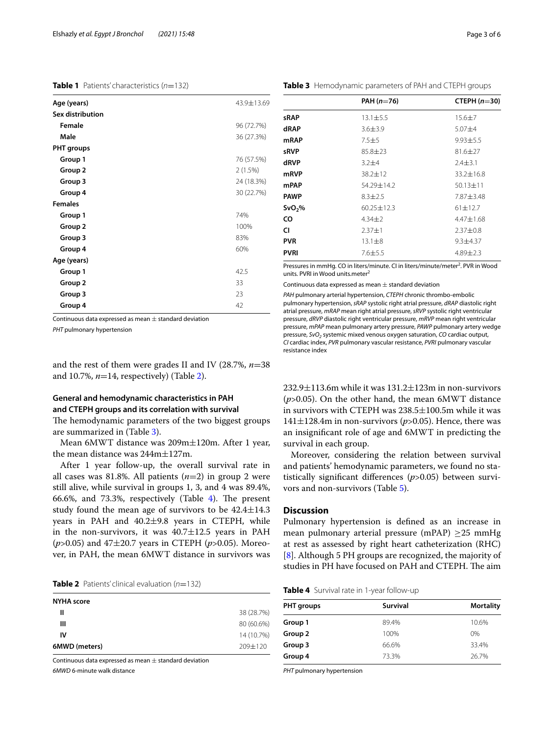## <span id="page-2-0"></span>**Table 1** Patients' characteristics (*n*=132)

| Age (years)       | 43.9±13.69 |
|-------------------|------------|
| Sex distribution  |            |
| Female            | 96 (72.7%) |
| Male              | 36 (27.3%) |
| <b>PHT</b> groups |            |
| Group 1           | 76 (57.5%) |
| Group 2           | 2(1.5%)    |
| Group 3           | 24 (18.3%) |
| Group 4           | 30 (22.7%) |
| <b>Females</b>    |            |
| Group 1           | 74%        |
| Group 2           | 100%       |
| Group 3           | 83%        |
| Group 4           | 60%        |
| Age (years)       |            |
| Group 1           | 42.5       |
| Group 2           | 33         |
| Group 3           | 23         |
| Group 4           | 42         |

Continuous data expressed as mean  $\pm$  standard deviation

*PHT* pulmonary hypertension

and the rest of them were grades II and IV (28.7%, *n*=38 and 10.7%, *n*=14, respectively) (Table [2\)](#page-2-1).

# **General and hemodynamic characteristics in PAH and CTEPH groups and its correlation with survival**

The hemodynamic parameters of the two biggest groups are summarized in (Table [3\)](#page-2-2).

Mean 6MWT distance was 209m±120m. After 1 year, the mean distance was 244m±127m.

After 1 year follow-up, the overall survival rate in all cases was 81.8%. All patients (*n*=2) in group 2 were still alive, while survival in groups 1, 3, and 4 was 89.4%, 66.6%, and 73.3%, respectively (Table  $4$ ). The present study found the mean age of survivors to be  $42.4 \pm 14.3$ years in PAH and 40.2±9.8 years in CTEPH, while in the non-survivors, it was  $40.7 \pm 12.5$  years in PAH (*p*>0.05) and 47±20.7 years in CTEPH (*p*>0.05). Moreover, in PAH, the mean 6MWT distance in survivors was

<span id="page-2-1"></span>

| <b>NYHA score</b> |             |
|-------------------|-------------|
| Ш                 | 38 (28.7%)  |
| Ш                 | 80 (60.6%)  |
| IV                | 14 (10.7%)  |
| 6MWD (meters)     | $709 + 120$ |

Continuous data expressed as mean  $\pm$  standard deviation *6MWD* 6-minute walk distance

#### <span id="page-2-2"></span>**Table 3** Hemodynamic parameters of PAH and CTEPH groups

| PAH $(n=76)$                 | CTEPH $(n=30)$ |  |
|------------------------------|----------------|--|
| $13.1 \pm 5.5$               | $15.6 \pm 7$   |  |
| $3.6 \pm 3.9$                | $5.07 + 4$     |  |
| $7.5 + 5$                    | $9.93 + 5.5$   |  |
| $85.8 \pm 23$                | $81.6 \pm 27$  |  |
| $3.2 + 4$                    | $2.4 \pm 3.1$  |  |
| 38.2±12                      | $33.2 + 16.8$  |  |
| $54.29 + 14.2$               | $50.13 \pm 11$ |  |
| $8.3 \pm 2.5$                | 7.87±3.48      |  |
| $60.25 + 12.3$               | $61 + 12.7$    |  |
| $4.34 + 2$                   | $4.47 + 1.68$  |  |
| $2.37 + 1$                   | $2.37 + 0.8$   |  |
| $13.1 \pm 8$<br>$9.3 + 4.37$ |                |  |
| $7.6 \pm 5.5$                | $4.89 \pm 2.3$ |  |
|                              |                |  |

Pressures in mmHg. CO in liters/minute. CI in liters/minute/meter<sup>2</sup>. PVR in Wood units. PVRI in Wood units.meter<sup>2</sup>

Continuous data expressed as mean  $\pm$  standard deviation

*PAH* pulmonary arterial hypertension, *CTEPH* chronic thrombo-embolic pulmonary hypertension, *sRAP* systolic right atrial pressure, *dRAP* diastolic right atrial pressure, *mRAP* mean right atrial pressure, *sRVP* systolic right ventricular pressure, *dRVP* diastolic right ventricular pressure, *mRVP* mean right ventricular pressure, *mPAP* mean pulmonary artery pressure, *PAWP* pulmonary artery wedge pressure, *SvO2* systemic mixed venous oxygen saturation, *CO* cardiac output, *CI* cardiac index, *PVR* pulmonary vascular resistance, *PVRI* pulmonary vascular resistance index

 $232.9\pm113.6$ m while it was  $131.2\pm123$ m in non-survivors (*p*>0.05). On the other hand, the mean 6MWT distance in survivors with CTEPH was 238.5±100.5m while it was  $141\pm128.4$ m in non-survivors ( $p > 0.05$ ). Hence, there was an insignifcant role of age and 6MWT in predicting the survival in each group.

Moreover, considering the relation between survival and patients' hemodynamic parameters, we found no statistically signifcant diferences (*p*>0.05) between survivors and non-survivors (Table [5](#page-3-0)).

## **Discussion**

Pulmonary hypertension is defned as an increase in mean pulmonary arterial pressure (mPAP)  $\geq$ 25 mmHg at rest as assessed by right heart catheterization (RHC) [[8\]](#page-5-0). Although 5 PH groups are recognized, the majority of studies in PH have focused on PAH and CTEPH. The aim

<span id="page-2-3"></span>

|  |  |  |  | Table 4 Survival rate in 1-year follow-up |  |
|--|--|--|--|-------------------------------------------|--|
|--|--|--|--|-------------------------------------------|--|

| <b>PHT</b> groups | <b>Survival</b> | <b>Mortality</b> |  |
|-------------------|-----------------|------------------|--|
| Group 1           | 89.4%           | 10.6%            |  |
| Group 2           | 100%            | $0\%$            |  |
| Group 3           | 66.6%           | 33.4%            |  |
| Group 4           | 73.3%           | 26.7%            |  |

*PHT* pulmonary hypertension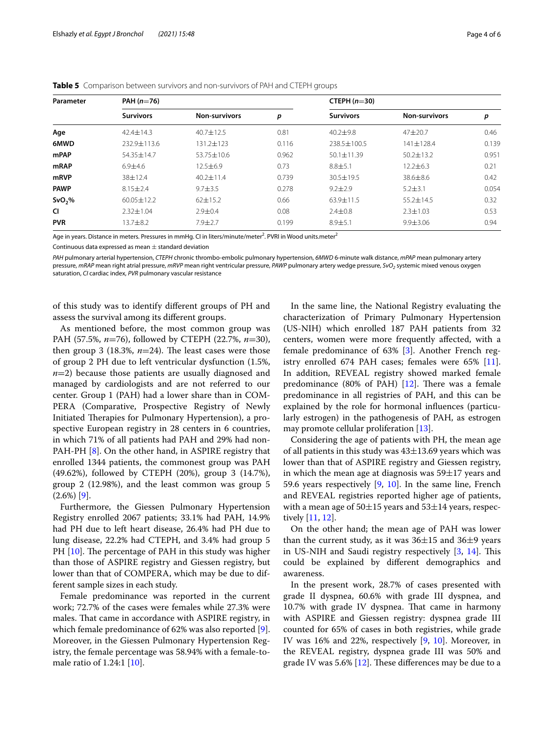| Parameter          | PAH $(n=76)$     |                      |       | CTEPH $(n=30)$   |                      |       |
|--------------------|------------------|----------------------|-------|------------------|----------------------|-------|
|                    | <b>Survivors</b> | <b>Non-survivors</b> | р     | <b>Survivors</b> | <b>Non-survivors</b> | p     |
| Age                | $42.4 \pm 14.3$  | $40.7 \pm 12.5$      | 0.81  | $40.2 + 9.8$     | $47 + 20.7$          | 0.46  |
| 6MWD               | $232.9 + 113.6$  | $131.2 + 123$        | 0.116 | $238.5 + 100.5$  | $141 + 128.4$        | 0.139 |
| mPAP               | 54.35±14.7       | $53.75 \pm 10.6$     | 0.962 | $50.1 + 11.39$   | $50.2 + 13.2$        | 0.951 |
| <b>mRAP</b>        | $6.9 + 4.6$      | $12.5 \pm 6.9$       | 0.73  | $8.8 + 5.1$      | $12.2 \pm 6.3$       | 0.21  |
| mRVP               | 38±12.4          | $40.2 \pm 11.4$      | 0.739 | $30.5 \pm 19.5$  | 38.6±8.6             | 0.42  |
| <b>PAWP</b>        | $8.15 \pm 2.4$   | $9.7 \pm 3.5$        | 0.278 | $9.2 \pm 2.9$    | $5.2 + 3.1$          | 0.054 |
| SvO <sub>2</sub> % | $60.05 \pm 12.2$ | $62 \pm 15.2$        | 0.66  | 63.9±11.5        | $55.2 + 14.5$        | 0.32  |
| <b>CI</b>          | $2.32 \pm 1.04$  | $2.9 \pm 0.4$        | 0.08  | $2.4 \pm 0.8$    | $2.3 \pm 1.03$       | 0.53  |
| <b>PVR</b>         | $13.7 + 8.2$     | $7.9 \pm 2.7$        | 0.199 | $8.9 + 5.1$      | $9.9 \pm 3.06$       | 0.94  |

<span id="page-3-0"></span>**Table 5** Comparison between survivors and non-survivors of PAH and CTEPH groups

Age in years. Distance in meters. Pressures in mmHg. CI in liters/minute/meter<sup>2</sup>. PVRI in Wood units.meter<sup>2</sup>

Continuous data expressed as mean  $\pm$  standard deviation

*PAH* pulmonary arterial hypertension, *CTEPH* chronic thrombo-embolic pulmonary hypertension, *6MWD* 6-minute walk distance, *mPAP* mean pulmonary artery pressure, *mRAP* mean right atrial pressure, *mRVP* mean right ventricular pressure, *PAWP* pulmonary artery wedge pressure, *SvO<sub>2</sub>* systemic mixed venous oxygen saturation, *CI* cardiac index, *PVR* pulmonary vascular resistance

of this study was to identify diferent groups of PH and assess the survival among its diferent groups.

As mentioned before, the most common group was PAH (57.5%, *n*=76), followed by CTEPH (22.7%, *n*=30), then group 3 (18.3%,  $n=24$ ). The least cases were those of group 2 PH due to left ventricular dysfunction (1.5%, *n*=2) because those patients are usually diagnosed and managed by cardiologists and are not referred to our center. Group 1 (PAH) had a lower share than in COM-PERA (Comparative, Prospective Registry of Newly Initiated Therapies for Pulmonary Hypertension), a prospective European registry in 28 centers in 6 countries, in which 71% of all patients had PAH and 29% had non-PAH-PH [[8\]](#page-5-0). On the other hand, in ASPIRE registry that enrolled 1344 patients, the commonest group was PAH (49.62%), followed by CTEPH (20%), group 3 (14.7%), group 2 (12.98%), and the least common was group 5  $(2.6\%)$  [\[9](#page-5-1)].

Furthermore, the Giessen Pulmonary Hypertension Registry enrolled 2067 patients; 33.1% had PAH, 14.9% had PH due to left heart disease, 26.4% had PH due to lung disease, 22.2% had CTEPH, and 3.4% had group 5 PH [[10\]](#page-5-2). The percentage of PAH in this study was higher than those of ASPIRE registry and Giessen registry, but lower than that of COMPERA, which may be due to different sample sizes in each study.

Female predominance was reported in the current work; 72.7% of the cases were females while 27.3% were males. That came in accordance with ASPIRE registry, in which female predominance of 62% was also reported [\[9](#page-5-1)]. Moreover, in the Giessen Pulmonary Hypertension Registry, the female percentage was 58.94% with a female-tomale ratio of 1.24:1 [\[10](#page-5-2)].

In the same line, the National Registry evaluating the characterization of Primary Pulmonary Hypertension (US-NIH) which enrolled 187 PAH patients from 32 centers, women were more frequently afected, with a female predominance of 63% [\[3\]](#page-4-2). Another French registry enrolled 674 PAH cases; females were 65% [\[11](#page-5-3)]. In addition, REVEAL registry showed marked female predominance (80% of PAH)  $[12]$  $[12]$ . There was a female predominance in all registries of PAH, and this can be explained by the role for hormonal infuences (particularly estrogen) in the pathogenesis of PAH, as estrogen may promote cellular proliferation [[13](#page-5-5)].

Considering the age of patients with PH, the mean age of all patients in this study was  $43\pm13.69$  years which was lower than that of ASPIRE registry and Giessen registry, in which the mean age at diagnosis was  $59\pm17$  years and 59.6 years respectively [\[9](#page-5-1), [10](#page-5-2)]. In the same line, French and REVEAL registries reported higher age of patients, with a mean age of  $50\pm15$  years and  $53\pm14$  years, respectively [\[11,](#page-5-3) [12](#page-5-4)].

On the other hand; the mean age of PAH was lower than the current study, as it was  $36\pm15$  and  $36\pm9$  years in US-NIH and Saudi registry respectively [\[3](#page-4-2), [14\]](#page-5-6). This could be explained by diferent demographics and awareness.

In the present work, 28.7% of cases presented with grade II dyspnea, 60.6% with grade III dyspnea, and 10.7% with grade IV dyspnea. That came in harmony with ASPIRE and Giessen registry: dyspnea grade III counted for 65% of cases in both registries, while grade IV was 16% and 22%, respectively [\[9,](#page-5-1) [10\]](#page-5-2). Moreover, in the REVEAL registry, dyspnea grade III was 50% and grade IV was 5.6%  $[12]$  $[12]$ . These differences may be due to a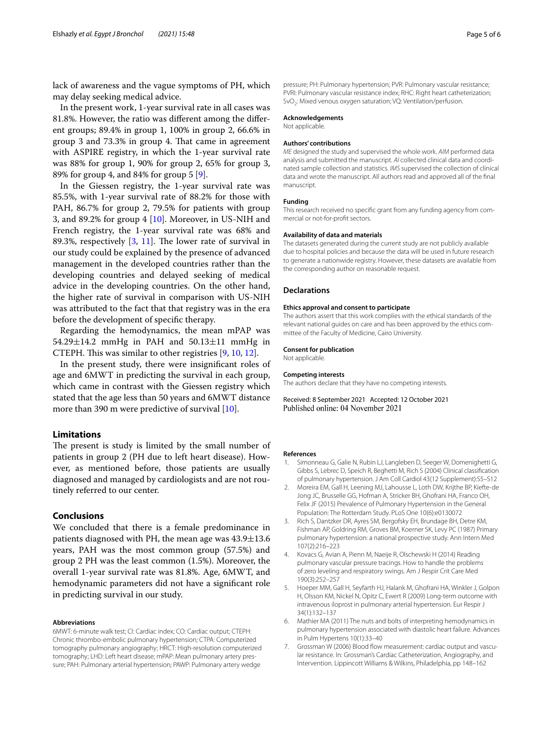lack of awareness and the vague symptoms of PH, which may delay seeking medical advice.

In the present work, 1-year survival rate in all cases was 81.8%. However, the ratio was diferent among the diferent groups; 89.4% in group 1, 100% in group 2, 66.6% in group 3 and 73.3% in group 4. That came in agreement with ASPIRE registry, in which the 1-year survival rate was 88% for group 1, 90% for group 2, 65% for group 3, 89% for group 4, and 84% for group 5 [\[9](#page-5-1)].

In the Giessen registry, the 1-year survival rate was 85.5%, with 1-year survival rate of 88.2% for those with PAH, 86.7% for group 2, 79.5% for patients with group 3, and 89.2% for group 4 [\[10\]](#page-5-2). Moreover, in US-NIH and French registry, the 1-year survival rate was 68% and 89.3%, respectively  $[3, 11]$  $[3, 11]$  $[3, 11]$ . The lower rate of survival in our study could be explained by the presence of advanced management in the developed countries rather than the developing countries and delayed seeking of medical advice in the developing countries. On the other hand, the higher rate of survival in comparison with US-NIH was attributed to the fact that that registry was in the era before the development of specifc therapy.

Regarding the hemodynamics, the mean mPAP was  $54.29 \pm 14.2$  mmHg in PAH and  $50.13 \pm 11$  mmHg in CTEPH. This was similar to other registries [\[9](#page-5-1), [10,](#page-5-2) [12\]](#page-5-4).

In the present study, there were insignifcant roles of age and 6MWT in predicting the survival in each group, which came in contrast with the Giessen registry which stated that the age less than 50 years and 6MWT distance more than 390 m were predictive of survival [[10\]](#page-5-2).

#### **Limitations**

The present is study is limited by the small number of patients in group 2 (PH due to left heart disease). However, as mentioned before, those patients are usually diagnosed and managed by cardiologists and are not routinely referred to our center.

## **Conclusions**

We concluded that there is a female predominance in patients diagnosed with PH, the mean age was  $43.9 \pm 13.6$ years, PAH was the most common group (57.5%) and group 2 PH was the least common (1.5%). Moreover, the overall 1-year survival rate was 81.8%. Age, 6MWT, and hemodynamic parameters did not have a signifcant role in predicting survival in our study.

#### **Abbreviations**

6MWT: 6-minute walk test; CI: Cardiac index; CO: Cardiac output; CTEPH: Chronic thrombo-embolic pulmonary hypertension; CTPA: Computerized tomography pulmonary angiography; HRCT: High-resolution computerized tomography; LHD: Left heart disease; mPAP: Mean pulmonary artery pressure; PAH: Pulmonary arterial hypertension; PAWP: Pulmonary artery wedge

pressure; PH: Pulmonary hypertension; PVR: Pulmonary vascular resistance; PVRI: Pulmonary vascular resistance index; RHC: Right heart catheterization; SvO<sub>2</sub>: Mixed venous oxygen saturation; VQ: Ventilation/perfusion.

#### **Acknowledgements**

Not applicable.

#### **Authors' contributions**

*ME* designed the study and supervised the whole work. *AIM* performed data analysis and submitted the manuscript. *AI* collected clinical data and coordinated sample collection and statistics. *IMS* supervised the collection of clinical data and wrote the manuscript. All authors read and approved all of the fnal manuscript.

#### **Funding**

This research received no specifc grant from any funding agency from commercial or not-for-proft sectors.

#### **Availability of data and materials**

The datasets generated during the current study are not publicly available due to hospital policies and because the data will be used in future research to generate a nationwide registry. However, these datasets are available from the corresponding author on reasonable request.

#### **Declarations**

#### **Ethics approval and consent to participate**

The authors assert that this work complies with the ethical standards of the relevant national guides on care and has been approved by the ethics committee of the Faculty of Medicine, Cairo University.

#### **Consent for publication**

Not applicable.

#### **Competing interests**

The authors declare that they have no competing interests.

Received: 8 September 2021 Accepted: 12 October 2021 Published online: 04 November 2021

#### **References**

- <span id="page-4-0"></span>1. Simonneau G, Galie N, Rubin LJ, Langleben D, Seeger W, Domenighetti G, Gibbs S, Lebrec D, Speich R, Beghetti M, Rich S (2004) Clinical classifcation of pulmonary hypertension. J Am Coll Cardiol 43(12 Supplement):S5–S12
- <span id="page-4-1"></span>2. Moreira EM, Gall H, Leening MJ, Lahousse L, Loth DW, Krijthe BP, Kiefte-de Jong JC, Brusselle GG, Hofman A, Stricker BH, Ghofrani HA, Franco OH, Felix JF (2015) Prevalence of Pulmonary Hypertension in the General Population: The Rotterdam Study. PLoS One 10(6):e0130072
- <span id="page-4-2"></span>3. Rich S, Dantzker DR, Ayres SM, Bergofsky EH, Brundage BH, Detre KM, Fishman AP, Goldring RM, Groves BM, Koerner SK, Levy PC (1987) Primary pulmonary hypertension: a national prospective study. Ann Intern Med 107(2):216–223
- <span id="page-4-3"></span>4. Kovacs G, Avian A, Pienn M, Naeije R, Olschewski H (2014) Reading pulmonary vascular pressure tracings. How to handle the problems of zero leveling and respiratory swings. Am J Respir Crit Care Med 190(3):252–257
- <span id="page-4-4"></span>5. Hoeper MM, Gall H, Seyfarth HJ, Halank M, Ghofrani HA, Winkler J, Golpon H, Olsson KM, Nickel N, Opitz C, Ewert R (2009) Long-term outcome with intravenous iloprost in pulmonary arterial hypertension. Eur Respir J 34(1):132–137
- <span id="page-4-5"></span>6. Mathier MA (2011) The nuts and bolts of interpreting hemodynamics in pulmonary hypertension associated with diastolic heart failure. Advances in Pulm Hypertens 10(1):33–40
- <span id="page-4-6"></span>7. Grossman W (2006) Blood flow measurement: cardiac output and vascular resistance. In: Grossman's Cardiac Catheterization, Angiography, and Intervention. Lippincott Williams & Wilkins, Philadelphia, pp 148–162